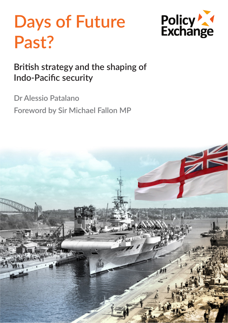# **Days of Future Past?**



## **British strategy and the shaping of Indo-Pacific security**

**Dr Alessio Patalano**

**Foreword by Sir Michael Fallon MP**

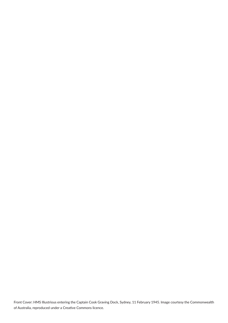Front Cover: HMS Illustrious entering the Captain Cook Graving Dock, Sydney, 11 February 1945. Image courtesy the Commonwealth of Australia, reproduced under a Creative Commons licence.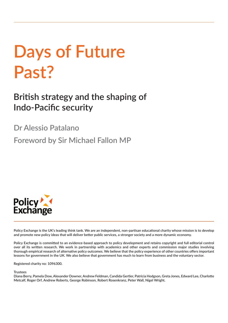# **Days of Future Past?**

**British strategy and the shaping of Indo-Pacific security**

**Dr Alessio Patalano**

**Foreword by Sir Michael Fallon MP**



**Policy Exchange is the UK's leading think tank. We are an independent, non-partisan educational charity whose mission is to develop and promote new policy ideas that will deliver better public services, a stronger society and a more dynamic economy.** 

**Policy Exchange is committed to an evidence-based approach to policy development and retains copyright and full editorial control over all its written research. We work in partnership with academics and other experts and commission major studies involving thorough empirical research of alternative policy outcomes. We believe that the policy experience of other countries offers important lessons for government in the UK. We also believe that government has much to learn from business and the voluntary sector.**

**Registered charity no: 1096300.**

**Trustees**

**Diana Berry, Pamela Dow, Alexander Downer, Andrew Feldman, Candida Gertler, Patricia Hodgson, Greta Jones, Edward Lee, Charlotte Metcalf, Roger Orf, Andrew Roberts, George Robinson, Robert Rosenkranz, Peter Wall, Nigel Wright.**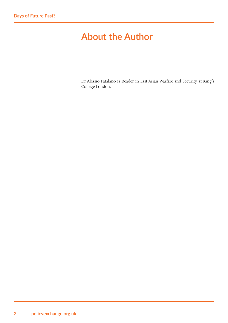## **About the Author**

Dr Alessio Patalano is Reader in East Asian Warfare and Security at King's College London.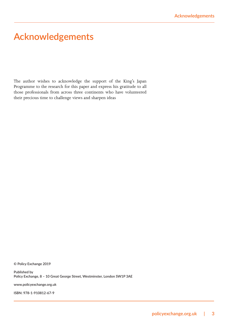### **Acknowledgements**

The author wishes to acknowledge the support of the King's Japan Programme to the research for this paper and express his gratitude to all those professionals from across three continents who have volunteered their precious time to challenge views and sharpen ideas

**© Policy Exchange 2019**

**Published by Policy Exchange, 8 – 10 Great George Street, Westminster, London SW1P 3AE**

**www.policyexchange.org.uk**

**ISBN: 978-1-910812-67-9**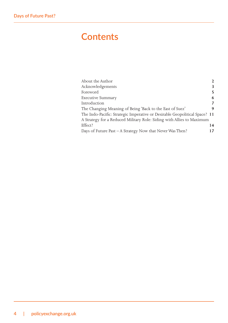## **Contents**

| About the Author                                                           | $\mathbf{2}$ |
|----------------------------------------------------------------------------|--------------|
| Acknowledgements                                                           | 3            |
| Foreword                                                                   | 5            |
| <b>Executive Summary</b>                                                   | 6            |
| Introduction                                                               | 7            |
| The Changing Meaning of Being 'Back to the East of Suez'                   | 9            |
| The Indo-Pacific: Strategic Imperative or Desirable Geopolitical Space? 11 |              |
| A Strategy for a Reduced Military Role: Siding with Allies to Maximum      |              |
| Effect?                                                                    | 14           |
| Days of Future Past - A Strategy Now that Never Was Then?                  | 17           |
|                                                                            |              |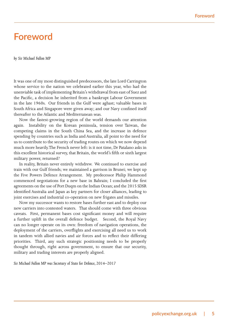#### **Foreword**

*by Sir Michael Fallon MP*

It was one of my most distinguished predecessors, the late Lord Carrington whose service to the nation we celebrated earlier this year, who had the unenviable task of implementing Britain's withdrawal from east of Suez and the Pacific, a decision he inherited from a bankrupt Labour Government in the late 1960s. Our friends in the Gulf were aghast; valuable bases in South Africa and Singapore were given away; and our Navy confined itself thereafter to the Atlantic and Mediterranean seas.

Now the fastest-growing region of the world demands our attention again. Instability on the Korean peninsula, tension over Taiwan, the competing claims in the South China Sea, and the increase in defence spending by countries such as India and Australia, all point to the need for us to contribute to the security of trading routes on which we now depend much more heavily. The French never left: is it not time, Dr Patalano asks in this excellent historical survey, that Britain, the world's fifth or sixth largest military power, returned?

In reality, Britain never entirely withdrew. We continued to exercise and train with our Gulf friends; we maintained a garrison in Brunei; we kept up the Five Powers Defence Arrangement. My predecessor Philip Hammond commenced negotiations for a new base in Bahrain; I concluded the first agreements on the use of Port Duqm on the Indian Ocean; and the 2015 SDSR identified Australia and Japan as key partners for closer alliances, leading to joint exercises and industrial co-operation on new frigates and missiles.

Now my successor wants to restore bases further east and to deploy our new carriers into contested waters. That should come with three obvious caveats. First, permanent bases cost significant money and will require a further uplift in the overall defence budget. Second, the Royal Navy can no longer operate on its own: freedom of navigation operations, the deployment of the carriers, overflights and exercising all need us to work in tandem with allied navies and air forces and to reflect their differing priorities. Third, any such strategic positioning needs to be properly thought through, right across government, to ensure that our security, military and trading interests are properly aligned.

*Sir Michael Fallon MP was Secretary of State for Defence, 2014–2017*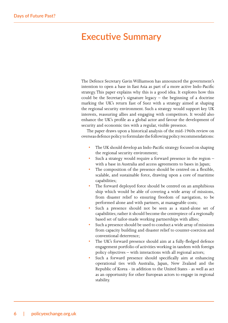#### **Executive Summary**

The Defence Secretary Gavin Williamson has announced the government's intention to open a base in East Asia as part of a more active Indo-Pacific strategy. This paper explains why this is a good idea. It explores how this could be the Secretary's signature legacy  $-$  the beginning of a doctrine marking the UK's return East of Suez with a strategy aimed at shaping the regional security environment. Such a strategy would support key UK interests, reassuring allies and engaging with competitors. It would also enhance the UK's profile as a global actor and favour the development of security and economic ties with a regular, visible presence.

The paper draws upon a historical analysis of the mid-1960s review on overseas defence policy to formulate the following policy recommendations:

- The UK should develop an Indo-Pacific strategy focused on shaping the regional security environment;
- Such a strategy would require a forward presence in the region  $$ with a base in Australia and access agreements to bases in Japan;
- The composition of the presence should be centred on a flexible, scalable, and sustainable force, drawing upon a core of maritime capabilities;
- The forward deployed force should be centred on an amphibious ship which would be able of covering a wide array of missions, from disaster relief to ensuring freedom of navigation, to be performed alone and with partners, at manageable costs;
- Such a presence should not be seen as a stand-alone set of capabilities; rather it should become the centrepiece of a regionally based set of tailor-made working partnerships with allies;
- Such a presence should be used to conduct a wide array of missions from capacity building and disaster relief to counter-coercion and conventional deterrence;
- The UK's forward presence should aim at a fully-fledged defence engagement portfolio of activities working in tandem with foreign policy objectives – with interactions with all regional actors;
- Such a forward presence should specifically aim at enhancing operational ties with Australia, Japan, New Zealand and the Republic of Korea - in addition to the United States - as well as act as an opportunity for other European actors to engage in regional stability.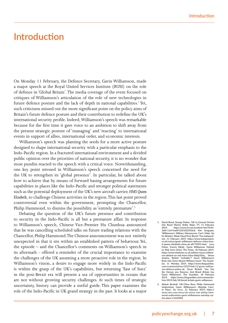#### **Introduction**

On Monday 11 February, the Defence Secretary, Gavin Williamson, made a major speech at the Royal United Services Institute (RUSI) on the role of defence in 'Global Britain'. The media coverage of the event focused on critiques of Williamson's articulation of the role of new technologies in future defence posture and the lack of depth in national capabilities.<sup>1</sup> Yet, such criticisms missed out the more significant point on the policy aims of Britain's future defence posture and their contribution to redefine the UK's international security profile. Indeed, Williamson's speech was remarkable because for the first time it gave voice to an ambition to shift away from the present strategic posture of 'managing' and 'reacting' to international events in support of allies, international order, and economic interests.

Williamson's speech was planting the seeds for a more active posture designed to shape international security with a particular emphasis to the Indo-Pacific region. In a fractured international environment and a divided public opinion over the priorities of national security, it is no wonder that most pundits reacted to the speech with a critical voice. Notwithstanding, one key point stressed in Williamson's speech concerned the need for the UK to strengthen its 'global presence'. In particular, he talked about how to achieve that by means of forward basing arrangements for future capabilities in places like the Indo-Pacific and stronger political statements such as the potential deployment of the UK's new aircraft carrier, *HMS Queen Elizabeth*, to challenge Chinese activities in the region. This last point proved controversial even within the government, prompting the Chancellor, Philip Hammond, to dismiss the possibility as 'entirely premature'.<sup>2</sup>

Debating the question of the UK's future presence and contribution to security in the Indo-Pacific is all but a premature affair. In response to Williamson's speech, Chinese Vice-Premier Hu Chunhua announced that he was cancelling scheduled talks on future trading relations with the Chancellor, Philip Hammond. The Chinese announcement was not entirely unexpected in that it sits within an established pattern of behaviour. Yet, the episode – and the Chancellor's comments on Williamson's speech in its aftermath - offered a reminder of the crucial importance to examine the challenges of the UK assuming a more proactive role in the region. In Williamson's vision, a desire to engage more widely in the Indo-Pacific is within the grasp of the UK's capabilities, but returning 'East of Suez' in the post-Brexit era will present a sea of opportunities in oceans that are not without growing security challenges. At such times of strategic uncertainty, history can provide a useful guide. This paper examines the role of the Indo-Pacific in UK grand strategy in the past. It looks at a major

- **1. David Bond, George Parker, 'UK to Convert Ferries into Royal Marine Strike Ships', FT, 11 February 2019, https://www.ft.com/content/4ee70c9a-2df6-11e9-ba00-0251022932c8; Kim Sengupta, 'Williamson's Military Manoeuvres Can't Make Up for Britain's Weak Hand Post-Brexit', The Independent, 11 February 2019, https://www.independent. co.uk/voices/gavin-williamson-defence-china-brexit-queen-elizabeth-china-uk-a8774391.html; Lucy Fisher, Francis Elliott, 'Gavin Williamson Defiant on Risk from China', The Times, 18 February 2019, https://www.thetimes.co.uk/edition/news/williamson-defiant-on-risk-from-china-hldtp35hq; Simon Jenkins, 'British "Lethality"? Gavin Williamson's Brain Has Gone Absent Without Leave', The Guardian, 11 Monday 2019, https://www.theguardian. com/commentisfree/2019/feb/11/gavin-william**son-defence-policy-uk; Oscar Rickett, **the Heroes you Deserve. And Brexit Britain has Gavin Williamson', The Guardian, 18 February 2019, https://www.theguardian.com/commentisfree/2019/feb/18/brexit-britain-gavin-williamson.**
- **2. Alistair Bunkall, 'UK-China Row: Philip Hammond Undermines Gavin Williamson's Warship Carrier Plans',** *Sky News***, 21 February 2019, https:// news.sky.com/story/uk-china-row-philip-hammond-undermines-gavin-williamsons-warship-car-rier-plans-11643584.**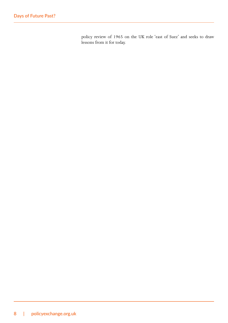policy review of 1965 on the UK role 'east of Suez' and seeks to draw lessons from it for today.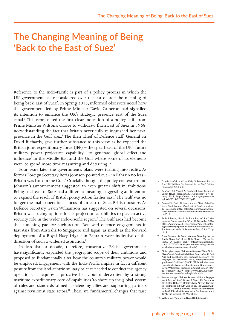## **The Changing Meaning of Being 'Back to the East of Suez'**

Reference to the Indo-Pacific is part of a policy process in which the UK government has reconsidered over the last decade the meaning of being back 'East of Suez'. In Spring 2013, informed observers noted how the government led by Prime Minister David Cameron had signalled its intention to enhance the UK's strategic presence east of the Suez canal.<sup>3</sup> This represented the first clear indication of a policy shift from Prime Minister Wilson's choice to withdraw from East of Suez in 1968, notwithstanding the fact that Britain never fully relinquished her naval presence in the Gulf area.<sup>4</sup> The then Chief of Defence Staff, General Sir David Richards, gave further substance to this view as he expected the British joint expeditionary force (JEF) – the spearhead of the UK's future military power projection capability –to generate 'global effect and influence' in the Middle East and the Gulf where some of its elements were 'to spend more time reassuring and deterring'.<sup>5</sup>

Four years later, the government's plans were turning into reality. As former Foreign Secretary Boris Johnson pointed out – in Bahrain no less – Britain was back in the Gulf.<sup>6</sup> Crucially though, the policy context around Johnson's announcement suggested an even greater shift in ambitions. Being back east of Suez had a different meaning, suggesting an intention to expand the reach of British policy action farther east.7 The Gulf was no longer the main operational focus of an east of Suez British posture. As Defence Secretary Gavin Williamson has suggested on several occasions, Britain was pacing options for its projection capabilities to play an active security role in the wider Indo-Pacific region.<sup>8</sup> The Gulf area had become the launching pad for such action. Renewed defence engagements in East Asia from Australia to Singapore and Japan, as much as the forward deployment of a Royal Navy frigate in Bahrain were indicative of the direction of such a widened aspiration.<sup>9</sup>

In less than a decade, therefore, consecutive British governments have significantly expanded the geographic scope of their ambitions and proposed to fundamentally alter how the country's military power would be employed. Engagement with the Indo-Pacific implies in fact a different posture from the land-centric military balance needed to conduct insurgency operations. It requires a proactive behaviour underwritten by a strong maritime expeditionary core of capabilities 'to shore up the global system of rules and standards' aimed at defending allies and supporting partners against revisionist state actors.<sup>10</sup> These are fundamental changes that raise

- 3. Gareth Stanfield and Saul Kelly, 'A Return to East of Suez? UK Military Deployment in the Gulf', *Briefing Paper*, April 2013, 2-3.
- **4. Geoffrey Till, 'Brexit & Southeast Asia: Return of British Naval Presence?',** *RSIS Commentary***. 07 February 2019, https://www.rsis.edu.sg/wp-content/ uploads/2019/02/CO19019.pdf.**
- 5. General Sir David Richards, 'Annual Chief of the Defence Staff Lecture', *Royal United Services Institute*, 17 December 2012, **https://rusi.org/event/annualchief-defence-staff-lecture-and-rusi-christmas-party-2012**.
- **6. Boris Johnson, 'Britain is Back East of Suez',** *Foreign and Commonwealth Office***, 09 December 2016, https://www.gov.uk/government/speeches/foreign-secretary-speech-britain-is-back-east-of-suez.**  Stanfield and Kelly, 'A Return to East of Suez?', op. cit., 4.
- **7. Euan Graham, 'Is Boris Johnson Steaming to the South China Sea? If so, Only Slowly',** *War on the Rocks***, 04 August 2017, https://warontherocks. com/2017/08/is-boris-johnson-steaming-to-thesouth-china-sea-if-so-only-slowly/.**
- **8. Christopher Hope, 'Britain to Become "True Global Player" post-Brexit with Military Bases in South East Asia and Caribbean, Says Defence Secretary',** *The Telegraph***, 30 December 2018, https://www.telegraph.co.uk/politics/2018/12/29/britain-becometrue-global-player-post-brexit-new-military-bases/; Gavin Williamson, 'Defence in Global Britain',** *RUSI***, 11 February 2019, https://www.gov.uk/government/speeches/defence-in-global-britain.**
- **9. Jeevan Vasagar, 'Britain Revives Military Engage-ment East of Suez',** *Financial Times***, 23 December 2016; Ben Doherty, 'Britain's New Aircraft Carriers to Test Beijing in South China Sea',** *The Guardian***, 27 July 2017; Dominic Nicholls, 'Britain to Send Frigate to the Gulf in Most Serious Naval Deployment since 1971',** *The Telegraph***, 25 May 2018.**

**10. Williamson, 'Defence in Global Britain',** *op.cit.***.**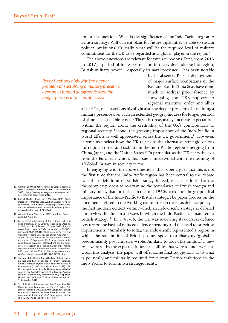important questions. What is the significance of the Indo-Pacific region to British strategy? Will current plans for future capabilities be able to sustain political ambitions? Crucially, what will be the required level of military commitment for the UK to be regarded as a 'global' player in the region?

The above questions are relevant for two key reasons. First, from 2013 to 2017, a period of increased tension in the wider Indo-Pacific region, British military power – especially its naval presence – has been notable

*Recent actions highlight the deeper problem of sustaining a military presence over an extended geographic area for longer periods at acceptable costs*

by its absence. Recent deployments of major surface combatants in the East and South China Seas have done much to address prior absence by showcasing the UK's support to regional maritime order and allies

alike.11 Yet, recent actions highlight also the deeper problem of sustaining a military presence over such an extended geographic area for longer periods of time at acceptable costs.<sup>12</sup> They also reasonably increase expectations within the region about the credibility of the UK's contributions to regional security. Second, the growing importance of the Indo-Pacific in world affairs is well appreciated across the UK government.<sup>13</sup> However, it remains unclear how the UK relates to the alternative strategic visions for regional order and stability in the Indo-Pacific region emerging from China, Japan, and the United States.<sup>14</sup> In particular, as the UK nears the exit from the European Union, this issue is intertwined with the meaning of a 'Global' Britain in security terms.

In engaging with the above questions, this paper argues that this is not the first time that the Indo-Pacific region has been central to the debate over the redefinition of British strategy. Indeed, the paper looks back at the complex process to re-examine the boundaries of British foreign and military policy that took place in the mid-1960s to explore the geopolitical importance of the Indo-Pacific to British strategy. The paper focuses on the documents related to the working committee on overseas defence policy – the first modern context within which an Indo-Pacific strategy is debated – to review the three main ways in which the Indo-Pacific has mattered to British strategy <sup>15</sup> In 1965-66, the UK was reviewing its overseas defence posture on the basis of reduced defence spending and the need to prioritise requirements.16 Similarly to today, the Indo-Pacific represented a region in which the redefinition of British posture spoke to a changing 'global' – predominantly post-imperial – role. Similarly to today, the limits of a 'new role' were set by the expected future capabilities that were to underwrite it. Upon this analysis, the paper will offer some final suggestions as to what is politically and militarily required for current British ambitions in the Indo-Pacific to turn into a strategic reality.

- **11. Admiral Sir Philip Jones, First Sea Lord, 'Speech at DSEI Maritime Conference 2017', 11 September 2017, https://www.gov.uk/government/speeches/ dsei-maritime-conference-2017.**
- **12. Rachel Dodd, 'Royal Navy Warship HMS Argyll Pulled in for Maintenance Work in Singapore',** *Plymouth Herald***, 17 November 2018; https://www.plymouthherald.co.uk/news/plymouth-news/royal-navy-warship-hms-argyll-2231949.**
- **13. Admiral Jones, 'Speech at DSEI Maritime Conference 2017', op. cit..**
- 14. For a recent articulation of the Chinese Belt and Road Initiative, cf. Xi Jinping, 'Speech at Opening of Belt and Road Forum', 15 May 2017, **https:// www.fmprc.gov.cn/mfa\_eng/wjdt\_665385/ zyjh\_665391/t1465819.shtml**; on Japan's Free and Open Indo-Pacific Strategy, see Shinzo Abe, 'Address at the 73<sup>rd</sup> Session of the United Nations General Assembly', 25 September 2018, **https://www.mofa. go.jp/fp/unp\_a/page3e\_000926.html**; for the United States' version of a Free and Open Indo-Pacific, see Mike Pompeo, 'Remarks on America's Indo-Pacific Economic Vision' 30 July 2018, **https://www.state. gov/secretary/remarks/2018/07/284722.htm**.
- **15. The role of the Committee in the East of Suez review process was first mentioned in Jeffrey Pickering,**  *Britain's Withdrawal from East of Suez: The Politics of Retrenchment* **(London: MacMillan Press, 1988), 158. On the significance of applied history as a method of analysis, see Robert Crowford, 'The Case for Applied History: Can the Study of the Past Really Help Us to Understand the Present?',** *History Today***, Vol. 68, No. 9, September 2018.**
- **16. Saki R. Dockrill,** *Britain's Retreat from East of Suez: The Choice between Europe and the World?* **(London: Palgrave Macmillan, 2002); Edward Longinotti, 'Britain Withdrawal from East of Suez: From Economic Determinism to Political Choice',** *Contemporary British History***, Vol. 29, No. 3, 2015, 318-340.**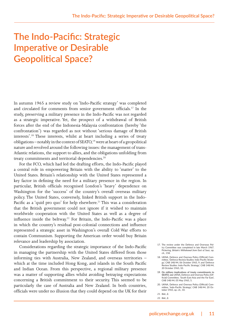## **The Indo-Pacific: Strategic Imperative or Desirable Geopolitical Space?**

In autumn 1965 a review study on 'Indo-Pacific strategy' was completed and circulated for comments from senior government officials.<sup>17</sup> In the study, preserving a military presence in the Indo-Pacific was not regarded as a strategic imperative. Yet, the prospect of a withdrawal of British forces after the end of the Indonesia-Malaysia confrontation (hereby 'the confrontation') was regarded as not without 'serious damage of British interests'.18 These interests, whilst at heart including a series of treaty obligations – notably in the context of SEATO,<sup>19</sup> were at heart of a geopolitical nature and revolved around the following issues: the management of trans-Atlantic relations, the support to allies, and the obligations unfolding from treaty commitments and territorial dependencies.<sup>20</sup>

For the FCO, which had led the drafting efforts, the Indo-Pacific played a central role in empowering Britain with the ability to 'matter' to the United States. Britain's relationship with the United States represented a key factor in defining the need for a military presence in the region. In particular, British officials recognised London's 'heavy' dependence on Washington for the 'success' of the country's overall overseas military policy. The United States, conversely, linked British support in the Indo-Pacific as a 'quid pro quo' for help elsewhere.<sup>21</sup> This was a consideration that the British government could not ignore if it wished to maintain worldwide cooperation with the United States as well as a degree of influence inside the beltway.<sup>22</sup> For Britain, the Indo-Pacific was a place in which the country's residual post-colonial connections and influence represented a strategic asset in Washington's overall Cold War efforts to contain Communism. Supporting the American order would buy Britain relevance and leadership by association.

Considerations regarding the strategic importance of the Indo-Pacific in managing the partnership with the United States differed from those informing ties with Australia, New Zealand, and overseas territories – which at the time included Hong Kong, and islands in the South Pacific and Indian Ocean. From this perspective, a regional military presence was a matter of supporting allies whilst avoiding betraying expectations concerning a British commitment to their security. This seemed to be particularly the case of Australia and New Zealand. In both countries, officials were under no illusion that they could depend on the UK for their

17. The review under the Defence and Overseas Policy Committee was completed in late March 1967. Pickering, *Britain's Withdrawal from East of Suez*, op. cit., 158.

**19. On military implications of treaty commitments to SEATO, see** UKNA, Defence and Oversea Policy (Official) Committee, 'South East Asia and the Far East', CAB 148/44, 05 May 1965, 5.

*22. Ibid.***, 2.**

<sup>18.</sup> UKNA, Defence and Oversea Policy (Official) Committee, 'Defence Review Studies: Indo-Pacific Strategy', CAB 148/44, 06 October 1965, 9; and 'Defence Review Studies: Indo-Pacific Strategy', CAB 148/44, 20 October 1965, 10.

<sup>20.</sup> UKNA, Defence and Oversea Policy (Official) Committee, 'Indo-Pacific Strategy', CAB 148/44, 20 October 1965, op. cit., 10.

*<sup>21.</sup> Ibid.***, 2.**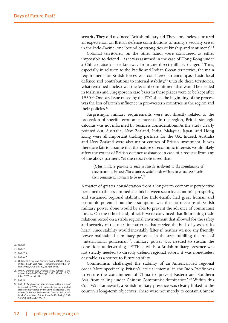security. They did not 'need' British military aid. They nonetheless nurtured an expectation on British defence contributions to manage security crises in the Indo-Pacific, one 'bound by strong ties of kinship and sentiment'.<sup>23</sup>

Colonial territories, on the other hand, were considered as either impossible to defend – as it was assumed in the case of Hong Kong under a Chinese attack – or far away from any direct military danger.<sup>24</sup> Thus, especially in relation to the Pacific and Indian Ocean territories, the main requirement for British forces was considered to encompass basic local defence and contributions to internal stability.<sup>25</sup> Outside these territories, what remained unclear was the level of commitment that would be needed in Malaysia and Singapore in case bases in these places were to be kept after 1970.<sup>26</sup> One key issue raised by the FCO since the beginning of the process was the loss of British influence in pro-western countries in the region and their policies.<sup>27</sup>

Surprisingly, military requirements were not directly related to the protection of specific economic interests. In the region, British strategic calculus was not informed by business considerations. As the study clearly pointed out, Australia, New Zealand, India, Malaysia, Japan, and Hong Kong were all important trading partners for the UK. Indeed, Australia and New Zealand were also major centres of British investment. It was therefore fair to assume that the nature of economic interests would likely affect the extent of British defence assistance in case of a request from any of the above partners. Yet the report observed that:

*'(O)ur military presence as such is strictly irrelevant to the maintenance of these economic interests. The countries which trade with us do so because it suits their commercial interests to do so'.28*

A matter of greater consideration from a long-term economic perspective pertained to the less immediate link between security, economic prosperity, and sustained regional stability. The Indo-Pacific had great human and economic potential but the assumption was that no measure of British military power alone would be able to prevent the advance of communist forces. On the other hand, officials were convinced that flourishing trade relations rested on a stable regional environment that allowed for the safety and security of the maritime arteries that carried the bulk of goods at its heart. Since stability would inevitably falter if 'neither we nor any friendly power maintained a military presence in the area fulfilling the role of "international policeman"', military power was needed to sustain the conditions underwriting it.<sup>29</sup> Thus, whilst a British military presence was not strictly needed to directly defend regional actors, it was nonetheless desirable as a source to future stability.

Communism challenged the stability of an American-led regional order. More specifically, Britain's 'crucial interest' in the Indo-Pacific was to ensure the containment of China to 'prevent Eastern and Southern Asia from falling under Chinese Communist domination'.<sup>30</sup> Within this Cold War framework, a British military presence was clearly linked to the country's long-term objectives. These were not merely to contain Chinese

- *23. Ibid.*, 3.
- *24. Ibid.*, 7.
- *25. Ibid.***, 7, 9.**
- *26. Ibid.***, 6-7.**
- 27. UKNA, Defence and Oversea Policy (Official) Committee, 'South East Asia – Memorandum by the Foreign Office', CAB 148/52, 21 April 1965.
- 28. UKNA, Defence and Oversea Policy (Official) Committee, 'Indo-Pacific Strategy', CAB 148/44, 20 Oc-tober 1965, op. cit., **3.**
- *29. Ibid.*, 3.
- *30. Ibid*., 2. Emphasis on the 'Chinese military threat' increased in 1966 with requests for an updated assessment prepared by the Joint Intelligence Committee, Cf. UKNA, Defence and Oversea Policy (Official) Committee, 'Future Indo-Pacific Policy', CAB 148/53, 23 March 1966, 2.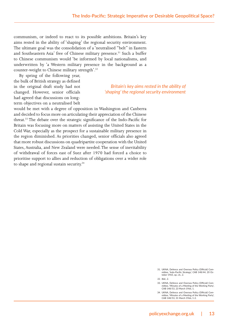communism, or indeed to react to its possible ambitions. Britain's key aims rested in the ability of 'shaping' the regional security environment. The ultimate goal was the consolidation of a 'neutralised "belt" in Eastern and Southeastern Asia' free of Chinese military presence.<sup>31</sup> Such a buffer to Chinese communism would 'be informed by local nationalisms, and underwritten by 'a Western military presence in the background as a counter-weight to Chinese military strength'.<sup>32</sup>

By spring of the following year, the bulk of British strategy as defined in the original draft study had not changed. However, senior officials had agreed that discussions on longterm objectives on a neutralised belt

*Britain's key aims rested in the ability of 'shaping' the regional security environment*

would be met with a degree of opposition in Washington and Canberra and decided to focus more on articulating their appreciation of the Chinese threat.33 The debate over the strategic significance of the Indo-Pacific for Britain was focusing more on matters of assisting the United States in the Cold War, especially as the prospect for a sustainable military presence in the region diminished. As priorities changed, senior officials also agreed that more robust discussions on quadripartite cooperation with the United States, Australia, and New Zealand were needed. The sense of inevitability of withdrawal of forces east of Suez after 1970 had forced a choice to prioritise support to allies and reduction of obligations over a wider role to shape and regional sustain security.<sup>34</sup>

<sup>31.</sup> UKNA, Defence and Oversea Policy (Official) Committee, 'Indo-Pacific Strategy', CAB 148/44, 20 October 1965, op. cit., 2.

*<sup>32.</sup> Ibid.*, 2.

<sup>33.</sup> UKNA, Defence and Oversea Policy (Official) Committee, 'Minutes of a Meeting of the Working Party', CAB 148/53, 23 March 1966, 1.

<sup>34.</sup> UKNA, Defence and Oversea Policy (Official) Committee, 'Minutes of a Meeting of the Working Party', CAB 148/53, 31 March 1966, 1-2.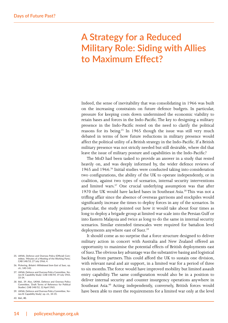## **A Strategy for a Reduced Military Role: Siding with Allies to Maximum Effect?**

Indeed, the sense of inevitability that was consolidating in 1966 was built on the increasing constraints on future defence budgets. In particular, pressure for keeping costs down undermined the economic viability to retain bases and forces in the Indo-Pacific. The key to designing a military presence in the Indo-Pacific rested on the need to clarify the political reasons for its being.<sup>35</sup> In 1965 though the issue was still very much debated in terms of how future reductions in military presence would affect the political utility of a British strategy in the Indo-Pacific. If a British military presence was not strictly needed but still desirable, where did that leave the issue of military posture and capabilities in the Indo-Pacific?

The MoD had been tasked to provide an answer in a study that rested heavily on, and was deeply informed by, the wider defence reviews of 1965 and 1966.36 Initial studies were conducted taking into consideration two configurations, the ability of the UK to operate independently, or in coalition, against two types of scenarios, internal security interventions and limited wars.<sup>37</sup> One crucial underlying assumption was that after 1970 the UK would have lacked bases in Southeast Asia.<sup>38</sup> This was not a trifling affair since the absence of overseas garrisons and stockpiles would significantly increase the times to deploy forces in any of the scenarios. In particular, the study pointed out how it would take about four times as long to deploy a brigade group at limited war scale into the Persian Gulf or into Eastern Malaysia and twice as long to do the same in internal security scenarios. Similar extended timescales were required for battalion level deployments anywhere east of Suez.<sup>39</sup>

It should come as no surprise that a force structure designed to deliver military action in concert with Australia and New Zealand offered an opportunity to maximise the potential effects of British deployments east of Suez. The obvious key advantage was the substantive basing and logistical backing from partners. This could afford the UK to sustain one division, with relevant naval and air support, in a limited war for a period of three to six months. The force would have improved mobility but limited assault entry capability. The same configuration would also be in a position to deliver internal security and counter insurgency operations anywhere in Southeast Asia.<sup>40</sup> Acting independently, conversely, British forces would have been able to meet the requirements for a limited war only at the level

- 35. UKNA, Defence and Oversea Policy (Official) Com-mittee, 'Minutes of a Meeting of the Working Party', CAB 148/53, 27 July 1966, 4.
- 36. Pickering, *Britain's Withdrawal from East of Suez*, op. cit., 140-142.
- 37. UKNA, Defence and Oversea Policy Committee, 'Annex B: Capability Study', CAB 148/44, 19 July 1965, 33-34.
- *38. Ibid.*, 39. Also, UKNA, Defence and Oversea Policy Committee, 'Draft Terms of Reference for Political Studies', CAB 148/52, 12 April 1965.
- 39. UKNA, Defence and Oversea Policy Committee, 'Annex B: Capability Study', op. cit., 34-35.
- *40. Ibid.***, 40.**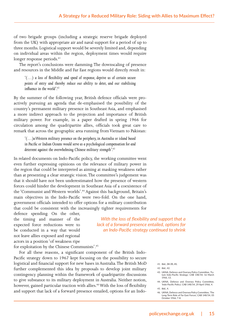of two brigade groups (including a strategic reserve brigade deployed from the UK) with appropriate air and naval support for a period of up to three months. Logistical support would be severely limited and, depending on individual areas within the region, deployment times would require longer response periods.<sup>41</sup>

The report's conclusions were damming. The downscaling of presence and resources in the Middle and Far East regions would directly result in:

*'(…) a loss of flexibility and speed of response, deprive us of certain secure points of entry and thereby reduce our ability to deter, and our stabilising influence in the world'.<sup>42</sup>*

By the summer of the following year, British defence officials were proactively pursuing an agenda that de-emphasised the possibility of the country's permanent military presence in Southeast Asia, and emphasised a more indirect approach to the projection and importance of British military power. For example, in a paper drafted in spring 1966 for circulation among the quadripartite allies, officials took great care to remark that across the geographic area running from Vietnam to Pakistan:

*'(…)a Western military presence on the periphery, in Australia or island based in Pacific or Indian Oceans would serve as a psychological compensation for and deterrent against the overwhelming Chinese military strength'.43*

In related documents on Indo-Pacific policy, the working committee went even further expressing opinions on the relevance of military power in the region that could be interpreted as aiming at masking weakness rather than at presenting a clear strategic vision. The committee's judgement was that it should have not been underestimated how the presence of western forces could hinder the development in Southeast Asia of a coexistence of the 'Communist and Western worlds'.<sup>44</sup> Against this background, Britain's main objectives in the Indo-Pacific were two-fold. On the one hand, government officials intended to offer options for a military contribution that could be consistent with the increasingly tighter requirements for

defence spending. On the other, the timing and manner of the expected force reductions were to be conducted in a way that would not leave allies exposed and regional actors in a position 'of weakness ripe

*With the loss of flexibility and support that a lack of a forward presence entailed, options for an Indo-Pacific strategy continued to shrink*

for exploitation by the Chinese Communists'.<sup>45</sup>

For all these reasons, a significant component of the British Indo-Pacific strategy down to 1967 kept focusing on the possibility to secure logistical and financial support for new bases in Australia. The British MoD further complemented this idea by proposals to develop joint military contingency planning within the framework of quadripartite discussions to give substance to its military deployment in Australia. Neither notion, however, gained particular traction with allies.<sup>46</sup> With the loss of flexibility and support that lack of a forward presence entailed, options for an Indo-

*41. Ibid.***, 34-35, 41.**

- *42. Ibid.*, 42.
- 43. UKNA, Defence and Oversea Policy Committee, 'Future Indo-Pacific Strategy', CAB 148/54, 16 March 1966, 13.
- 44. UKNA, Defence and Oversea Policy Committee, 'Indo-Pacific Policy', CAB 148/54, 29 April 1966, 4. *45. Ibid.*, 4.
- 46. UKNA, Defence and Oversea Policy Committee, 'The Long-Term Role of Far East Forces', CAB 148/54, 05 October 1966, 7-8.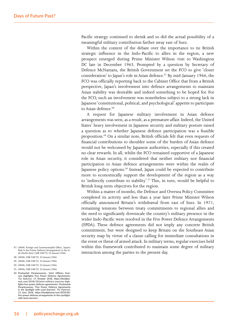Pacific strategy continued to shrink and so did the actual possibility of a meaningful military contribution farther away east of Suez.

Within the context of the debate over the importance to tie British strategic influence in the Indo-Pacific to allies in the region, a new prospect emerged during Prime Minister Wilson visit to Washington DC late in December 1965. Prompted by a question by Secretary of Defence McNamara, the British Government set the FCO to give 'closer consideration' to Japan's role in Asian defence.<sup>47</sup> By mid-January 1966, the FCO was officially reporting back to the Cabinet Office that from a British perspective, Japan's involvement into defence arrangements to maintain Asian stability was desirable and indeed something to be hoped for. For the FCO, such an involvement was nonetheless subject to a strong lack in Japanese 'constitutional, political, and psychological' appetite to participate to Asian defence.<sup>48</sup>

A request for Japanese military involvement in Asian defence arrangements was seen, as a result, as a premature affair. Indeed, the United States' heavy involvement in Japanese security and military posture raised a question as to whether Japanese defence participation was a feasible proposition.49 On a similar note, British officials felt that even requests of financial contributions to shoulder some of the burden of Asian defence would not be welcomed by Japanese authorities, especially if this created no clear rewards. In all, whilst the FCO remained supportive of a Japanese role in Asian security, it considered that neither military nor financial participation to Asian defence arrangements were within the realm of Japanese policy options.<sup>50</sup> Instead, Japan could be expected to contribute more to economically support the development of the region as a way to 'indirectly contribute to stability'.<sup>51</sup> This, in turn, would be helpful to British long-term objectives for the region.

Within a matter of months, the Defence and Oversea Policy Committee completed its activity and less than a year later Prime Minister Wilson officially announced Britain's withdrawal from east of Suez. In 1971, remaining tensions between treaty commitments to regional allies and the need to significantly downscale the country's military presence in the wider Indo-Pacific were resolved in the Five Power Defence Arrangements (FPDA). These defence agreements did not imply any concrete British commitment, but were designed to keep Britain on the Southeast Asian security map by virtue of a clause calling for immediate consultations in the event or threat of armed attack. In military terms, regular exercises held within this framework contributed to maintain some degree of military interaction among the parties to the present day.

- 47. UKNA, Foreign and Commonwealth Office, 'Japan's Role in the Future Defence Arrangements in the Indo-Pacific Area', CAB 148/72, 13 January 1966.
- 48. UKNA, CAB 148/72, 13 January 1966.
- 49. UKNA, CAB 148/72, 13 January 1966.
- 50. UKNA, CAB 148/72, 13 January 1966.
- 51. UKNA, CAB 148/72, 13 January 1966.

**52. Prashantah Parameswaran, 'Joint Military Exercise Highlights Five Power Defence Agreements',**  *The Diplomat***, 17 October 2018, https://thediplomat.com/2018/10/joint-military-exercise-highlights-five-power-defense-agreements/; Prashantah Parameswaran, 'Five Power Defence Agreements in the Spotlight with Land Exercise',** *The Diplomat***, 12 June 2018, https://thediplomat.com/2018/06/ five-power-defense-arrangements-in-the-spotlightwith-land-exercise/.**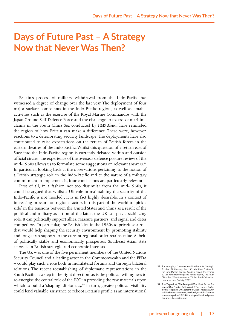## **Days of Future Past – A Strategy Now that Never Was Then?**

Britain's process of military withdrawal from the Indo-Pacific has witnessed a degree of change over the last year. The deployment of four major surface combatants in the Indo-Pacific region, as well as notable activities such as the exercise of the Royal Marine Commandos with the Japan Ground Self-Defence Force and the challenge to excessive maritime claims in the South China Sea conducted by *HMS Albion*, have reminded the region of how Britain can make a difference. These were, however, reactions to a deteriorating security landscape. The deployments have also contributed to raise expectations on the return of British forces in the eastern theatres of the Indo-Pacific. Whilst this question of a return east of Suez into the Indo-Pacific region is currently debated within and outside official circles, the experience of the overseas defence posture review of the mid-1960s allows us to formulate some suggestions on relevant answers.<sup>53</sup> In particular, looking back at the observations pertaining to the notion of a British strategic role in the Indo-Pacific and to the nature of a military commitment to implement it, four conclusions are particularly relevant.

First of all, in a fashion not too dissimilar from the mid-1960s, it could be argued that whilst a UK role in maintaining the security of the Indo-Pacific is not 'needed', it is in fact highly desirable. In a context of increasing pressure on regional actors in this part of the world to 'pick a side' in the tensions between the United States and China as a result of the political and military assertion of the latter, the UK can play a stabilizing role. It can politically support allies, reassure partners, and signal and deter competitors. In particular, the British idea in the 1960s to prioritise a role that would help shaping the security environment by promoting stability and long-term support to the current regional order retains value. A 'belt' of politically stable and economically prosperous Southeast Asian state actors is in British strategic and economic interests.

The UK – as one of the five permanent members of the United Nations Security Council and a leading actor in the Commonwealth and the FPDA – could play such a role both in multilateral forums and through bilateral relations. The recent reestablishing of diplomatic representations in the South Pacific is a step in the right direction, as is the political willingness to re-energise the central role of the FCO in providing the raw materials upon which to build a 'shaping' diplomacy.<sup>54</sup> In turn, greater political visibility could lend valuable assistance to reboot Britain's profile as an international

<sup>53.</sup> For example, cf. International Institute for Strategic Studies, 'Optimasing the UK's Maritime Posture in the Indo-Pacific Region', *Seminar Report* (December 2018); John Hemmings and James Rogers, *The South China Sea: Why it Matters to "Global Britain"* (London: Henry Jackson Society, 2019).

**<sup>54.</sup> Tom Tugendhat, 'The Foreign Office Must Be the Engine of Our Foreign Policy Again',** *The House – Parliament's Magazine***, 30 September 2018, https://www. politicshome.com/news/uk/foreign-affairs/house/ house-magazine/98624/tom-tugendhat-foreign-office-must-be-engine-our.**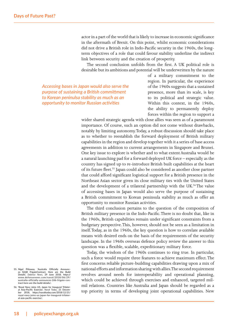actor in a part of the world that is likely to increase in economic significance in the aftermath of Brexit. On this point, whilst economic considerations did not drive a British role in Indo-Pacific security in the 1960s, the longterm objectives of a role that could favour stability underline the indirect link between security and the creation of prosperity.

The second conclusion unfolds from the first. A UK political role is desirable but its ambitions and potential will be underwritten by the nature

*Accessing bases in Japan would also serve the purpose of sustaining a British committment to Korean peninulsa stability as much as an opportunity to monitor Russian activities*

of a military commitment to the region. In particular, the experience of the 1960s suggests that a sustained presence, more than its scale, is key to its political and strategic value. Within this context, in the 1960s, the ability to permanently deploy forces within the region to support a

wider shared strategic agenda with close allies was seen as of a paramount importance. Of course, such an option did not come without drawbacks, notably by limiting autonomy. Today, a robust discussion should take place as to whether to reestablish the forward deployment of British military capabilities in the region and develop together with it a series of base access agreements in addition to current arrangements in Singapore and Brunei. One key issue to explore is whether and to what extent Australia would be a natural launching pad for a forward deployed UK force – especially as the country has signed up to re-introduce British built capabilities at the heart of its future fleet.55 Japan could also be considered as another close partner that could afford significant logistical support for a British presence in the Northeast Asian sector given its close military ties with the United States and the development of a trilateral partnership with the UK.<sup>56</sup>The value of accessing bases in Japan would also serve the purpose of sustaining a British commitment to Korean peninsula stability as much as offer an opportunity to monitor Russian activities.

The third conclusion pertains to the question of the composition of British military presence in the Indo-Pacific. There is no doubt that, like in the 1960s, British capabilities remain under significant constraints from a budgetary perspective. This, however, should not be seen as a limitation in itself. Today, as in the 1960s, the key question is how to correlate available means with desired ends on the basis of the requirements of the security landscape. In the 1960s overseas defence policy review the answer to this question was a flexible, scalable, expeditionary military force.

Today, the wisdom of the 1960s continues to ring true. In particular, such a force would require three features to achieve maximum effect. The first concerns reliable picture-building capabilities drawing upon a mix of national efforts and information sharing with allies. The second requirement revolves around needs for interoperability and operational planning, which could be achieved through exercises and enhanced, targeted milmil relations. Countries like Australia and Japan should be regarded as a top priority in terms of developing joint operational capabilities. New

**<sup>55.</sup> Nigel Pittaway, 'Australia Officially Announces \$26B FrigateContract. Here are the Build Details',** *Defence News***, 29 June 2018, https:// www.defensenews.com/naval/2018/06/29/ australia-officially-announces-26b-frigate-contract-here-are-the-build-details/.** 

**<sup>56.</sup> 'Royal Navy Joins US, Japan for Inaugural Trilateral Asia-Pacific Exercise',** *Naval Today***, 21 December 2018, https://navaltoday.com/2018/12/21/ royal-navy-joins-us-japan-for-inaugural-trilateral-asia-pacific-exercise/.**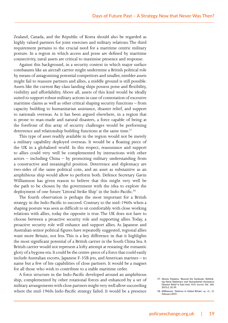Zealand, Canada, and the Republic of Korea should also be regarded as highly valued partners for joint exercises and military relations. The third requirement pertains to the crucial need for a maritime centric military posture. In a region in which access and poise are defined by maritime connectivity, naval assets are critical to maximise presence and response.

Against this background, in a security context in which major surface combatants like an aircraft carrier might undermine a British political role by means of antagonising potential competitors and smaller, nimbler assets might fail to reassure partners and allies, a middle ground is still possible. Assets like the current Bay-class landing ships possess poise and flexibility, visibility and affordability. Above all, assets of this kind would be ideally suited to support robust military actions in case of contestation of excessive maritime claims as well as other critical shaping security functions – from capacity building to humanitarian assistance, disaster relief, and support to nationals overseas. As it has been argued elsewhere, in a region that is prone to man-made and natural disasters, a force capable of being at the forefront of this array of security challenges would be performing deterrence and relationship building functions at the same time.<sup>57</sup>

This type of asset readily available in the region would not be merely a military capability deployed overseas. It would be a floating piece of the UK in a globalised world. In this respect, reassurance and support to allies could very well be complemented by interactions with other actors – including China – by promoting military understanding from a constructive and meaningful position. Deterrence and diplomacy are two-sides of the same political coin, and an asset as substantive as an amphibious ship would allow to perform both. Defence Secretary Gavin Williamson has given reason to believe that this might very well be the path to be chosen by the government with the idea to explore the deployment of one future 'Littoral Strike Ship' in the Indo-Pacific.<sup>58</sup>

The fourth observation is perhaps the most important for a British strategy in the Indo-Pacific to succeed. Contrary to the mid-1960s when a shaping posture was seen as difficult to sit comfortably with close working relations with allies, today the opposite is true. The UK does not have to choose between a proactive security role and supporting allies. Today, a proactive security role will enhance and support allies. As Japanese and Australian senior political figures have repeatedly suggested, regional allies want more Britain, not less. This is a key difference in that it highlights the most significant potential of a British carrier in the South China Sea. A British carrier would not represent a lofty attempt at restating the romantic glory of a bygone era. It could be the centre-piece of a force that could easily include Australian escorts, Japanese F-35B jets, and American marines – to name but a few of hte capabilities of close partners. It would be a magnet for all those who wish to contribute to a stable maritime order.

A force structure in the Indo-Pacific developed around an amphibious ship, complemented by other rotational forces and enhanced by a set of military arrangements with close partners might very well allow succeeding where the mid-1960s Indo-Pacific strategy failed. It would be a presence

**<sup>57.</sup> Alessio Patalano, 'Beyond the Gunboats: Rethinking Naval Diplomacy and Humanitarian Assistance Disaster Relief in East Asia',** *RUSI Journal***, Vol. 160, 2015:2, 32-39.**

**<sup>58.</sup> Williamson, 'Defence in Global Britain',** *op. cit.***, 11 February 2019.**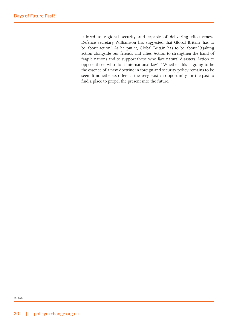tailored to regional security and capable of delivering effectiveness. Defence Secretary Williamson has suggested that Global Britain 'has to be about action'. As he put it, Global Britain has to be about '(t)aking action alongside our friends and allies. Action to strengthen the hand of fragile nations and to support those who face natural disasters. Action to oppose those who flout international law'.59 Whether this is going to be the essence of a new doctrine in foreign and security policy remains to be seen. It nonetheless offers at the very least an opportunity for the past to find a place to propel the present into the future.